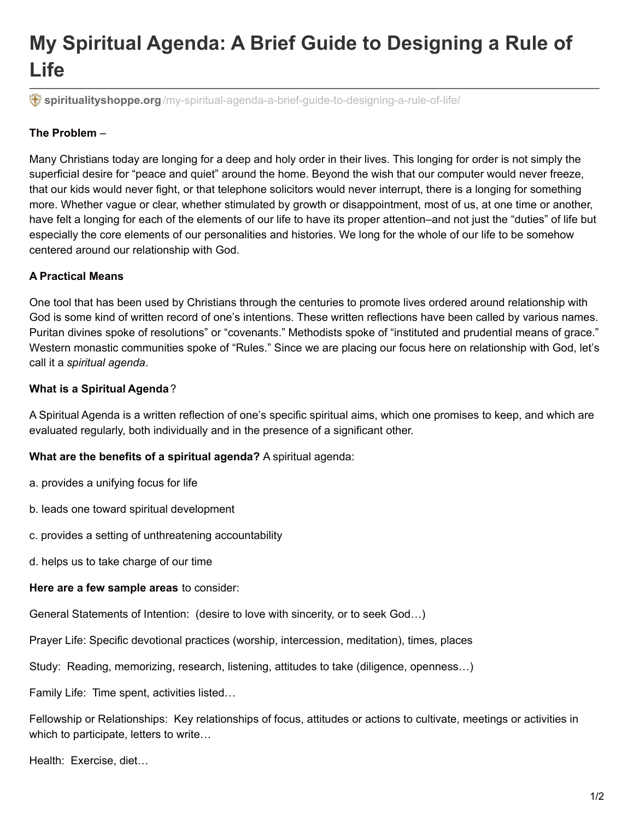# **My Spiritual Agenda: A Brief Guide to Designing a Rule of Life**

**spiritualityshoppe.org** [/my-spiritual-agenda-a-brief-guide-to-designing-a-rule-of-life/](http://spiritualityshoppe.org/my-spiritual-agenda-a-brief-guide-to-designing-a-rule-of-life/)

## **The Problem** –

Many Christians today are longing for a deep and holy order in their lives. This longing for order is not simply the superficial desire for "peace and quiet" around the home. Beyond the wish that our computer would never freeze, that our kids would never fight, or that telephone solicitors would never interrupt, there is a longing for something more. Whether vague or clear, whether stimulated by growth or disappointment, most of us, at one time or another, have felt a longing for each of the elements of our life to have its proper attention–and not just the "duties" of life but especially the core elements of our personalities and histories. We long for the whole of our life to be somehow centered around our relationship with God.

### **A Practical Means**

One tool that has been used by Christians through the centuries to promote lives ordered around relationship with God is some kind of written record of one's intentions. These written reflections have been called by various names. Puritan divines spoke of resolutions" or "covenants." Methodists spoke of "instituted and prudential means of grace." Western monastic communities spoke of "Rules." Since we are placing our focus here on relationship with God, let's call it a *spiritual agenda*.

#### **What is a Spiritual Agenda**?

A Spiritual Agenda is a written reflection of one's specific spiritual aims, which one promises to keep, and which are evaluated regularly, both individually and in the presence of a significant other.

**What are the benefits of a spiritual agenda?** A spiritual agenda:

- a. provides a unifying focus for life
- b. leads one toward spiritual development
- c. provides a setting of unthreatening accountability
- d. helps us to take charge of our time

#### **Here are a few sample areas** to consider:

General Statements of Intention: (desire to love with sincerity, or to seek God…)

Prayer Life: Specific devotional practices (worship, intercession, meditation), times, places

Study: Reading, memorizing, research, listening, attitudes to take (diligence, openness…)

Family Life: Time spent, activities listed…

Fellowship or Relationships: Key relationships of focus, attitudes or actions to cultivate, meetings or activities in which to participate, letters to write…

Health: Exercise, diet…